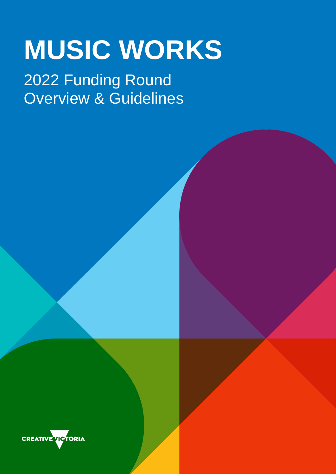# **MUSIC WORKS**

## 2022 Funding Round Overview & Guidelines

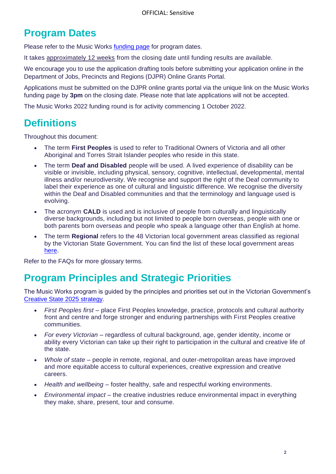### **Program Dates**

Please refer to the Music Works [funding page](https://creative.vic.gov.au/grants-and-support/programs/music-works) for program dates.

It takes approximately 12 weeks from the closing date until funding results are available.

We encourage you to use the application drafting tools before submitting your application online in the Department of Jobs, Precincts and Regions (DJPR) Online Grants Portal.

Applications must be submitted on the DJPR online grants portal via the unique link on the Music Works funding page by **3pm** on the closing date. Please note that late applications will not be accepted.

The Music Works 2022 funding round is for activity commencing 1 October 2022.

### **Definitions**

Throughout this document:

- The term **First Peoples** is used to refer to Traditional Owners of Victoria and all other Aboriginal and Torres Strait Islander peoples who reside in this state.
- The term **Deaf and Disabled** people will be used. A lived experience of disability can be visible or invisible, including physical, sensory, cognitive, intellectual, developmental, mental illness and/or neurodiversity. We recognise and support the right of the Deaf community to label their experience as one of cultural and linguistic difference. We recognise the diversity within the Deaf and Disabled communities and that the terminology and language used is evolving.
- The acronym **CALD** is used and is inclusive of people from culturally and linguistically diverse backgrounds, including but not limited to people born overseas, people with one or both parents born overseas and people who speak a language other than English at home.
- The term **Regional** refers to the 48 Victorian local government areas classified as regional by the Victorian State Government. You can find the list of these local government areas [here.](https://creative.vic.gov.au/glossary/regional-victoria)

Refer to the FAQs for more glossary terms.

### **Program Principles and Strategic Priorities**

The Music Works program is guided by the principles and priorities set out in the Victorian Government's [Creative State 2025 strategy.](https://vicgov.sharepoint.com/sites/VG000515/AI1/Arts%20Development/A%20-%20Creators%20Fund%20(CF)/2022/Final%20Docs%20for%20Publishing/:/creative.vic.gov.au/major-initiatives/creative-state/2025)

- *First Peoples first* place First Peoples knowledge, practice, protocols and cultural authority front and centre and forge stronger and enduring partnerships with First Peoples creative communities.
- *For every Victorian* regardless of cultural background, age, gender identity, income or ability every Victorian can take up their right to participation in the cultural and creative life of the state.
- *Whole of state* people in remote, regional, and outer-metropolitan areas have improved and more equitable access to cultural experiences, creative expression and creative careers.
- *Health and wellbeing* foster healthy, safe and respectful working environments.
- *Environmental impact* the creative industries reduce environmental impact in everything they make, share, present, tour and consume.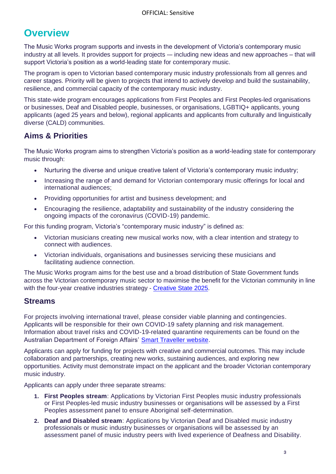### **Overview**

The Music Works program supports and invests in the development of Victoria's contemporary music industry at all levels. It provides support for projects -– including new ideas and new approaches – that will support Victoria's position as a world-leading state for contemporary music.

The program is open to Victorian based contemporary music industry professionals from all genres and career stages. Priority will be given to projects that intend to actively develop and build the sustainability, resilience, and commercial capacity of the contemporary music industry.

This state-wide program encourages applications from First Peoples and First Peoples-led organisations or businesses, Deaf and Disabled people, businesses, or organisations, LGBTIQ+ applicants, young applicants (aged 25 years and below), regional applicants and applicants from culturally and linguistically diverse (CALD) communities.

### **Aims & Priorities**

The Music Works program aims to strengthen Victoria's position as a world-leading state for contemporary music through:

- Nurturing the diverse and unique creative talent of Victoria's contemporary music industry;
- Increasing the range of and demand for Victorian contemporary music offerings for local and international audiences;
- Providing opportunities for artist and business development; and
- Encouraging the resilience, adaptability and sustainability of the industry considering the ongoing impacts of the coronavirus (COVID-19) pandemic.

For this funding program, Victoria's "contemporary music industry" is defined as:

- Victorian musicians creating new musical works now, with a clear intention and strategy to connect with audiences.
- Victorian individuals, organisations and businesses servicing these musicians and facilitating audience connection.

The Music Works program aims for the best use and a broad distribution of State Government funds across the Victorian contemporary music sector to maximise the benefit for the Victorian community in line with the four-year creative industries strategy - [Creative State 2025.](https://creative.vic.gov.au/major-initiatives/creative-state/2025)

#### **Streams**

For projects involving international travel, please consider viable planning and contingencies. Applicants will be responsible for their own COVID-19 safety planning and risk management. Information about travel risks and COVID-19-related quarantine requirements can be found on the Australian Department of Foreign Affairs' [Smart Traveller website.](https://www.smartraveller.gov.au/)

Applicants can apply for funding for projects with creative and commercial outcomes. This may include collaboration and partnerships, creating new works, sustaining audiences, and exploring new opportunities. Activity must demonstrate impact on the applicant and the broader Victorian contemporary music industry.

Applicants can apply under three separate streams:

- **1. First Peoples stream**: Applications by Victorian First Peoples music industry professionals or First Peoples-led music industry businesses or organisations will be assessed by a First Peoples assessment panel to ensure Aboriginal self-determination.
- **2. Deaf and Disabled stream**: Applications by Victorian Deaf and Disabled music industry professionals or music industry businesses or organisations will be assessed by an assessment panel of music industry peers with lived experience of Deafness and Disability.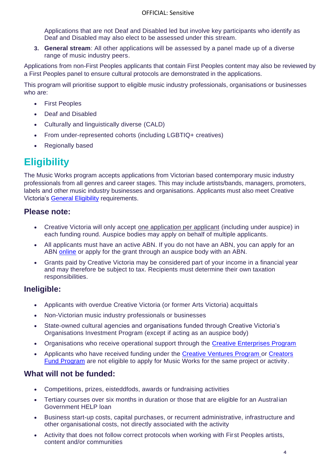Applications that are not Deaf and Disabled led but involve key participants who identify as Deaf and Disabled may also elect to be assessed under this stream.

**3. General stream**: All other applications will be assessed by a panel made up of a diverse range of music industry peers.

Applications from non-First Peoples applicants that contain First Peoples content may also be reviewed by a First Peoples panel to ensure cultural protocols are demonstrated in the applications.

This program will prioritise support to eligible music industry professionals, organisations or businesses who are:

- First Peoples
- Deaf and Disabled
- Culturally and linguistically diverse (CALD)
- From under-represented cohorts (including LGBTIQ+ creatives)
- Regionally based

### **Eligibility**

The Music Works program accepts applications from Victorian based contemporary music industry professionals from all genres and career stages. This may include artists/bands, managers, promoters, labels and other music industry businesses and organisations. Applicants must also meet Creative Victoria's General [Eligibility](https://creative.vic.gov.au/grants-and-support/information-for-all-applicants/general-eligibility) requirements.

#### **Please note:**

- Creative Victoria will only accept one application per applicant (including under auspice) in each funding round. Auspice bodies may apply on behalf of multiple applicants.
- All applicants must have an active ABN. If you do not have an ABN, you can apply for an ABN [online](https://www.abr.gov.au/business-super-funds-charities/applying-abn) or apply for the grant through an auspice body with an ABN.
- Grants paid by Creative Victoria may be considered part of your income in a financial year and may therefore be subject to tax. Recipients must determine their own taxation responsibilities.

#### **Ineligible:**

- Applicants with overdue Creative Victoria (or former Arts Victoria) acquittals
- Non-Victorian music industry professionals or businesses
- State-owned cultural agencies and organisations funded through Creative Victoria's Organisations Investment Program (except if acting as an auspice body)
- Organisations who receive operational support through the [Creative Enterprises Program](https://creative.vic.gov.au/grants-and-support/programs/multiyear-investment/creative-enterprises-program)
- Applicants who have received funding under the [Creative Ventures Program](https://creative.vic.gov.au/grants-and-support/programs/multiyear-investment/creative-ventures-program) or [Creators](https://creative.vic.gov.au/grants-and-support/programs/creators-fund)  [Fund Program](https://creative.vic.gov.au/grants-and-support/programs/creators-fund) are not eligible to apply for Music Works for the same project or activity.

#### **What will not be funded:**

- Competitions, prizes, eisteddfods, awards or fundraising activities
- Tertiary courses over six months in duration or those that are eligible for an Austral ian Government HELP loan
- Business start-up costs, capital purchases, or recurrent administrative, infrastructure and other organisational costs, not directly associated with the activity
- Activity that does not follow correct protocols when working with First Peoples artists, content and/or communities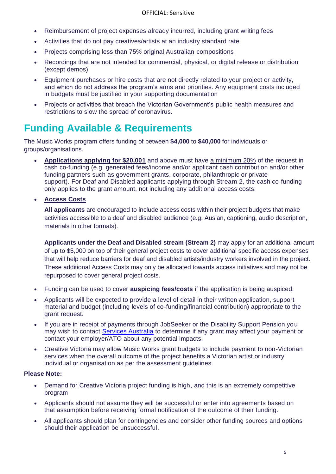- Reimbursement of project expenses already incurred, including grant writing fees
- Activities that do not pay creatives/artists at an industry standard rate
- Projects comprising less than 75% original Australian compositions
- Recordings that are not intended for commercial, physical, or digital release or distribution (except demos)
- Equipment purchases or hire costs that are not directly related to your project or activity, and which do not address the program's aims and priorities. Any equipment costs included in budgets must be justified in your supporting documentation
- Projects or activities that breach the Victorian Government's public health measures and restrictions to slow the spread of coronavirus.

### **Funding Available & Requirements**

The Music Works program offers funding of between **\$4,000** to **\$40,000** for individuals or groups/organisations.

- **Applications applying for \$20,001** and above must have a minimum 20% of the request in cash co-funding (e.g. generated fees/income and/or applicant cash contribution and/or other funding partners such as government grants, corporate, philanthropic or private support). For Deaf and Disabled applicants applying through Stream 2, the cash co-funding only applies to the grant amount, not including any additional access costs.
- **Access Costs**

**All applicants** are encouraged to include access costs within their project budgets that make activities accessible to a deaf and disabled audience (e.g. Auslan, captioning, audio description, materials in other formats).

**Applicants under the Deaf and Disabled stream (Stream 2)** may apply for an additional amount of up to \$5,000 on top of their general project costs to cover additional specific access expenses that will help reduce barriers for deaf and disabled artists/industry workers involved in the project. These additional Access Costs may only be allocated towards access initiatives and may not be repurposed to cover general project costs.

- Funding can be used to cover **auspicing fees/costs** if the application is being auspiced.
- Applicants will be expected to provide a level of detail in their written application, support material and budget (including levels of co-funding/financial contribution) appropriate to the grant request.
- If you are in receipt of payments through JobSeeker or the Disability Support Pension you may wish to contact [Services Australia](https://www.servicesaustralia.gov.au/individuals/services/centrelink/jobseeker-payment) to determine if any grant may affect your payment or contact your employer/ATO about any potential impacts.
- Creative Victoria may allow Music Works grant budgets to include payment to non-Victorian services when the overall outcome of the project benefits a Victorian artist or industry individual or organisation as per the assessment guidelines.

#### **Please Note:**

- Demand for Creative Victoria project funding is high, and this is an extremely competitive program
- Applicants should not assume they will be successful or enter into agreements based on that assumption before receiving formal notification of the outcome of their funding.
- All applicants should plan for contingencies and consider other funding sources and options should their application be unsuccessful.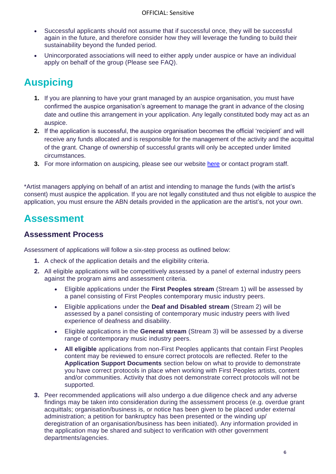- Successful applicants should not assume that if successful once, they will be successful again in the future, and therefore consider how they will leverage the funding to build their sustainability beyond the funded period.
- Unincorporated associations will need to either apply under auspice or have an individual apply on behalf of the group (Please see FAQ).

### **Auspicing**

- **1.** If you are planning to have your grant managed by an auspice organisation, you must have confirmed the auspice organisation's agreement to manage the grant in advance of the closing date and outline this arrangement in your application. Any legally constituted body may act as an auspice.
- **2.** If the application is successful, the auspice organisation becomes the official 'recipient' and will receive any funds allocated and is responsible for the management of the activity and the acquittal of the grant. Change of ownership of successful grants will only be accepted under limited circumstances.
- **3.** For more information on auspicing, please see our website [here](https://creative.vic.gov.au/grants-and-support/information-for-all-applicants/auspiced-applications) or contact program staff.

\*Artist managers applying on behalf of an artist and intending to manage the funds (with the artist's consent) must auspice the application. If you are not legally constituted and thus not eligible to auspice the application, you must ensure the ABN details provided in the application are the artist's, not your own.

### **Assessment**

#### **Assessment Process**

Assessment of applications will follow a six-step process as outlined below:

- **1.** A check of the application details and the eligibility criteria.
- **2.** All eligible applications will be competitively assessed by a panel of external industry peers against the program aims and assessment criteria.
	- Eligible applications under the **First Peoples stream** (Stream 1) will be assessed by a panel consisting of First Peoples contemporary music industry peers.
	- Eligible applications under the **Deaf and Disabled stream** (Stream 2) will be assessed by a panel consisting of contemporary music industry peers with lived experience of deafness and disability.
	- Eligible applications in the **General stream** (Stream 3) will be assessed by a diverse range of contemporary music industry peers.
	- **All eligible** applications from non-First Peoples applicants that contain First Peoples content may be reviewed to ensure correct protocols are reflected. Refer to the **Application Support Documents** section below on what to provide to demonstrate you have correct protocols in place when working with First Peoples artists, content and/or communities. Activity that does not demonstrate correct protocols will not be supported.
- **3.** Peer recommended applications will also undergo a due diligence check and any adverse findings may be taken into consideration during the assessment process (e.g. overdue grant acquittals; organisation/business is, or notice has been given to be placed under external administration; a petition for bankruptcy has been presented or the winding up/ deregistration of an organisation/business has been initiated). Any information provided in the application may be shared and subject to verification with other government departments/agencies.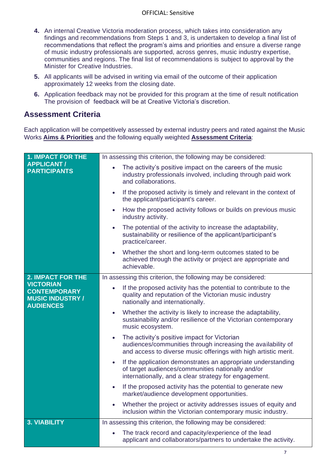- **4.** An internal Creative Victoria moderation process, which takes into consideration any findings and recommendations from Steps 1 and 3, is undertaken to develop a final list of recommendations that reflect the program's aims and priorities and ensure a diverse range of music industry professionals are supported, across genres, music industry expertise, communities and regions. The final list of recommendations is subject to approval by the Minister for Creative Industries.
- **5.** All applicants will be advised in writing via email of the outcome of their application approximately 12 weeks from the closing date.
- **6.** Application feedback may not be provided for this program at the time of result notification The provision of feedback will be at Creative Victoria's discretion.

#### **Assessment Criteria**

Each application will be competitively assessed by external industry peers and rated against the Music Works **Aims & Priorities** and the following equally weighted **Assessment Criteria**:

| <b>1. IMPACT FOR THE</b>                                                               | In assessing this criterion, the following may be considered:                                                                                                                                |  |  |
|----------------------------------------------------------------------------------------|----------------------------------------------------------------------------------------------------------------------------------------------------------------------------------------------|--|--|
| <b>APPLICANT /</b><br><b>PARTICIPANTS</b>                                              | The activity's positive impact on the careers of the music<br>$\bullet$<br>industry professionals involved, including through paid work<br>and collaborations.                               |  |  |
|                                                                                        | If the proposed activity is timely and relevant in the context of<br>$\bullet$<br>the applicant/participant's career.                                                                        |  |  |
|                                                                                        | How the proposed activity follows or builds on previous music<br>$\bullet$<br>industry activity.                                                                                             |  |  |
|                                                                                        | The potential of the activity to increase the adaptability,<br>$\bullet$<br>sustainability or resilience of the applicant/participant's<br>practice/career.                                  |  |  |
|                                                                                        | Whether the short and long-term outcomes stated to be<br>achieved through the activity or project are appropriate and<br>achievable.                                                         |  |  |
| <b>2. IMPACT FOR THE</b>                                                               | In assessing this criterion, the following may be considered:                                                                                                                                |  |  |
| <b>VICTORIAN</b><br><b>CONTEMPORARY</b><br><b>MUSIC INDUSTRY /</b><br><b>AUDIENCES</b> | If the proposed activity has the potential to contribute to the<br>quality and reputation of the Victorian music industry<br>nationally and internationally.                                 |  |  |
|                                                                                        | Whether the activity is likely to increase the adaptability,<br>$\bullet$<br>sustainability and/or resilience of the Victorian contemporary<br>music ecosystem.                              |  |  |
|                                                                                        | The activity's positive impact for Victorian<br>$\bullet$<br>audiences/communities through increasing the availability of<br>and access to diverse music offerings with high artistic merit. |  |  |
|                                                                                        | If the application demonstrates an appropriate understanding<br>$\bullet$<br>of target audiences/communities nationally and/or<br>internationally, and a clear strategy for engagement.      |  |  |
|                                                                                        | If the proposed activity has the potential to generate new<br>$\bullet$<br>market/audience development opportunities.                                                                        |  |  |
|                                                                                        | Whether the project or activity addresses issues of equity and<br>inclusion within the Victorian contemporary music industry.                                                                |  |  |
| <b>3. VIABILITY</b>                                                                    | In assessing this criterion, the following may be considered:                                                                                                                                |  |  |
|                                                                                        | The track record and capacity/experience of the lead<br>applicant and collaborators/partners to undertake the activity.                                                                      |  |  |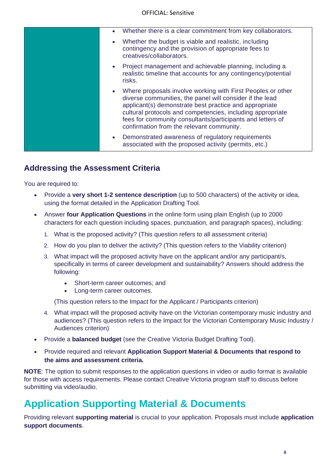| $\bullet$ | Whether there is a clear commitment from key collaborators.                                                                                                                                                                                                                                                                                                |
|-----------|------------------------------------------------------------------------------------------------------------------------------------------------------------------------------------------------------------------------------------------------------------------------------------------------------------------------------------------------------------|
|           | Whether the budget is viable and realistic, including<br>contingency and the provision of appropriate fees to<br>creatives/collaborators.                                                                                                                                                                                                                  |
| $\bullet$ | Project management and achievable planning, including a<br>realistic timeline that accounts for any contingency/potential<br>risks.                                                                                                                                                                                                                        |
|           | Where proposals involve working with First Peoples or other<br>diverse communities, the panel will consider if the lead<br>applicant(s) demonstrate best practice and appropriate<br>cultural protocols and competencies, including appropriate<br>fees for community consultants/participants and letters of<br>confirmation from the relevant community. |
|           | Demonstrated awareness of regulatory requirements<br>associated with the proposed activity (permits, etc.)                                                                                                                                                                                                                                                 |
|           |                                                                                                                                                                                                                                                                                                                                                            |

### **Addressing the Assessment Criteria**

You are required to:

- Provide a **very short 1-2 sentence description** (up to 500 characters) of the activity or idea, using the format detailed in the Application Drafting Tool.
- Answer **four Application Questions** in the online form using plain English (up to 2000 characters for each question including spaces, punctuation, and paragraph spaces), including:
	- 1. What is the proposed activity? (This question refers to all assessment criteria)
	- 2. How do you plan to deliver the activity? (This question refers to the Viability criterion)
	- 3. What impact will the proposed activity have on the applicant and/or any participant/s, specifically in terms of career development and sustainability? Answers should address the following:
		- Short-term career outcomes; and
		- Long-term career outcomes.

(This question refers to the Impact for the Applicant / Participants criterion)

- 4. What impact will the proposed activity have on the Victorian contemporary music industry and audiences? (This question refers to the Impact for the Victorian Contemporary Music Industry / Audiences criterion)
- Provide a **balanced budget** (see the Creative Victoria Budget Drafting Tool).
- Provide required and relevant **Application Support Material & Documents that respond to the aims and assessment criteria.**

**NOTE**: The option to submit responses to the application questions in video or audio format is available for those with access requirements. Please contact Creative Victoria program staff to discuss before submitting via video/audio.

### **Application Supporting Material & Documents**

Providing relevant **supporting material** is crucial to your application. Proposals must include **application support documents**.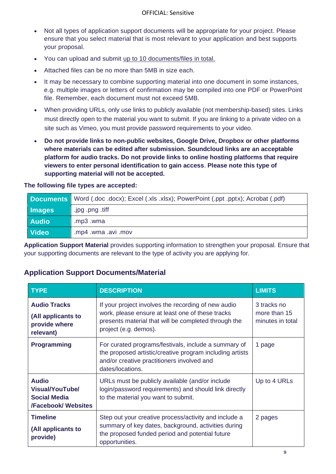- Not all types of application support documents will be appropriate for your project. Please ensure that you select material that is most relevant to your application and best supports your proposal.
- You can upload and submit up to 10 documents/files in total.
- Attached files can be no more than 5MB in size each.
- It may be necessary to combine supporting material into one document in some instances, e.g. multiple images or letters of confirmation may be compiled into one PDF or PowerPoint file. Remember, each document must not exceed 5MB.
- When providing URLs, only use links to publicly available (not membership-based) sites. Links must directly open to the material you want to submit. If you are linking to a private video on a site such as Vimeo, you must provide password requirements to your video.
- **Do not provide links to non-public websites, Google Drive, Dropbox or other platforms where materials can be edited after submission. Soundcloud links are an acceptable platform for audio tracks. Do not provide links to online hosting platforms that require viewers to enter personal identification to gain access**. **Please note this type of supporting material will not be accepted.**

#### **The following file types are accepted:**

|               | <b>Documents</b> Word (.doc.docx); Excel (.xls.xlsx); PowerPoint (.ppt.pptx); Acrobat (.pdf) |  |
|---------------|----------------------------------------------------------------------------------------------|--|
| <b>Images</b> | .jpg .png .tiff                                                                              |  |
| <b>Audio</b>  | .mp3.wma                                                                                     |  |
| Video         | .mp4 .wma .avi .mov                                                                          |  |

**Application Support Material** provides supporting information to strengthen your proposal. Ensure that your supporting documents are relevant to the type of activity you are applying for.

| <b>TYPE</b>                                                                                 | <b>DESCRIPTION</b>                                                                                                                                                                       | <b>LIMITS</b>                                   |
|---------------------------------------------------------------------------------------------|------------------------------------------------------------------------------------------------------------------------------------------------------------------------------------------|-------------------------------------------------|
| <b>Audio Tracks</b><br>(All applicants to<br>provide where<br>relevant)                     | If your project involves the recording of new audio<br>work, please ensure at least one of these tracks<br>presents material that will be completed through the<br>project (e.g. demos). | 3 tracks no<br>more than 15<br>minutes in total |
| <b>Programming</b>                                                                          | For curated programs/festivals, include a summary of<br>the proposed artistic/creative program including artists<br>and/or creative practitioners involved and<br>dates/locations.       | 1 page                                          |
| <b>Audio</b><br><b>Visual/YouTube/</b><br><b>Social Media</b><br><b>/Facebook/ Websites</b> | URLs must be publicly available (and/or include<br>login/password requirements) and should link directly<br>to the material you want to submit.                                          | Up to 4 URLs                                    |
| <b>Timeline</b><br>(All applicants to<br>provide)                                           | Step out your creative process/activity and include a<br>summary of key dates, background, activities during<br>the proposed funded period and potential future<br>opportunities.        | 2 pages                                         |

### **Application Support Documents/Material**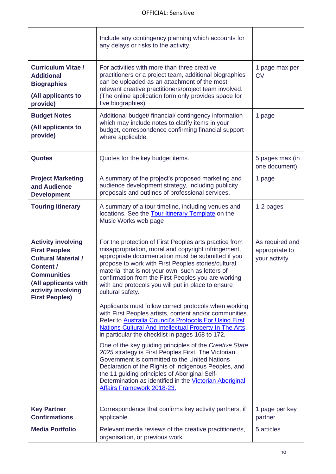|                                                                                                                                                                  | Include any contingency planning which accounts for<br>any delays or risks to the activity.                                                                                                                                                                                                                                                                                                                      |                                                     |
|------------------------------------------------------------------------------------------------------------------------------------------------------------------|------------------------------------------------------------------------------------------------------------------------------------------------------------------------------------------------------------------------------------------------------------------------------------------------------------------------------------------------------------------------------------------------------------------|-----------------------------------------------------|
| <b>Curriculum Vitae /</b><br><b>Additional</b><br><b>Biographies</b><br>(All applicants to<br>provide)                                                           | For activities with more than three creative<br>practitioners or a project team, additional biographies<br>can be uploaded as an attachment of the most<br>relevant creative practitioners/project team involved.<br>(The online application form only provides space for<br>five biographies).                                                                                                                  | 1 page max per<br><b>CV</b>                         |
| <b>Budget Notes</b><br>(All applicants to<br>provide)                                                                                                            | Additional budget/ financial/ contingency information<br>which may include notes to clarify items in your<br>budget, correspondence confirming financial support<br>where applicable.                                                                                                                                                                                                                            | 1 page                                              |
| <b>Quotes</b>                                                                                                                                                    | Quotes for the key budget items.                                                                                                                                                                                                                                                                                                                                                                                 | 5 pages max (in<br>one document)                    |
| <b>Project Marketing</b><br>and Audience<br><b>Development</b>                                                                                                   | A summary of the project's proposed marketing and<br>audience development strategy, including publicity<br>proposals and outlines of professional services.                                                                                                                                                                                                                                                      | 1 page                                              |
| <b>Touring Itinerary</b>                                                                                                                                         | A summary of a tour timeline, including venues and<br>locations. See the <b>Tour Itinerary Template</b> on the<br>Music Works web page                                                                                                                                                                                                                                                                           | 1-2 pages                                           |
|                                                                                                                                                                  |                                                                                                                                                                                                                                                                                                                                                                                                                  |                                                     |
| <b>Activity involving</b><br><b>First Peoples</b><br><b>Cultural Material /</b><br>Content /<br><b>Communities</b><br>(All applicants with<br>activity involving | For the protection of First Peoples arts practice from<br>misappropriation, moral and copyright infringement,<br>appropriate documentation must be submitted if you<br>propose to work with First Peoples stories/cultural<br>material that is not your own, such as letters of<br>confirmation from the First Peoples you are working<br>with and protocols you will put in place to ensure<br>cultural safety. | As required and<br>appropriate to<br>your activity. |
| <b>First Peoples)</b>                                                                                                                                            | Applicants must follow correct protocols when working<br>with First Peoples artists, content and/or communities.<br>Refer to Australia Council's Protocols For Using First<br><b>Nations Cultural And Intellectual Property In The Arts,</b><br>in particular the checklist in pages 168 to 172.                                                                                                                 |                                                     |
|                                                                                                                                                                  | One of the key guiding principles of the Creative State<br>2025 strategy is First Peoples First. The Victorian<br>Government is committed to the United Nations<br>Declaration of the Rights of Indigenous Peoples, and<br>the 11 guiding principles of Aboriginal Self-<br>Determination as identified in the Victorian Aboriginal<br><b>Affairs Framework 2018-23.</b>                                         |                                                     |
| <b>Key Partner</b><br><b>Confirmations</b>                                                                                                                       | Correspondence that confirms key activity partners, if<br>applicable.                                                                                                                                                                                                                                                                                                                                            | 1 page per key<br>partner                           |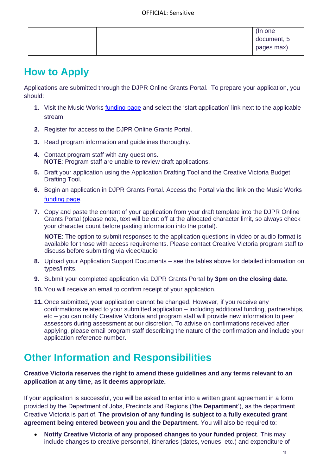|  | (In one     |
|--|-------------|
|  | document, 5 |
|  | pages max)  |

### **How to Apply**

Applications are submitted through the DJPR Online Grants Portal. To prepare your application, you should:

- **1.** Visit the Music Works [funding page](https://creative.vic.gov.au/grants-and-support/programs/music-works) and select the 'start application' link next to the applicable stream.
- **2.** Register for access to the DJPR Online Grants Portal.
- **3.** Read program information and guidelines thoroughly.
- **4.** Contact program staff with any questions. **NOTE**: Program staff are unable to review draft applications.
- **5.** Draft your application using the Application Drafting Tool and the Creative Victoria Budget Drafting Tool.
- **6.** Begin an application in DJPR Grants Portal. Access the Portal via the link on the Music Works [funding page.](https://creative.vic.gov.au/grants-and-support/programs/music-works)
- **7.** Copy and paste the content of your application from your draft template into the DJPR Online Grants Portal (please note, text will be cut off at the allocated character limit, so always check your character count before pasting information into the portal).

**NOTE**: The option to submit responses to the application questions in video or audio format is available for those with access requirements. Please contact Creative Victoria program staff to discuss before submitting via video/audio

- **8.** Upload your Application Support Documents see the tables above for detailed information on types/limits.
- **9.** Submit your completed application via DJPR Grants Portal by **3pm on the closing date.**
- **10.** You will receive an email to confirm receipt of your application.
- **11.** Once submitted, your application cannot be changed. However, if you receive any confirmations related to your submitted application – including additional funding, partnerships, etc – you can notify Creative Victoria and program staff will provide new information to peer assessors during assessment at our discretion. To advise on confirmations received after applying, please email program staff describing the nature of the confirmation and include your application reference number.

### **Other Information and Responsibilities**

#### **Creative Victoria reserves the right to amend these guidelines and any terms relevant to an application at any time, as it deems appropriate.**

If your application is successful, you will be asked to enter into a written grant agreement in a form provided by the Department of Jobs, Precincts and Regions ('the **Department**'), as the department Creative Victoria is part of. **The provision of any funding is subject to a fully executed grant agreement being entered between you and the Department.** You will also be required to:

• **Notify Creative Victoria of any proposed changes to your funded project**. This may include changes to creative personnel, itineraries (dates, venues, etc.) and expenditure of